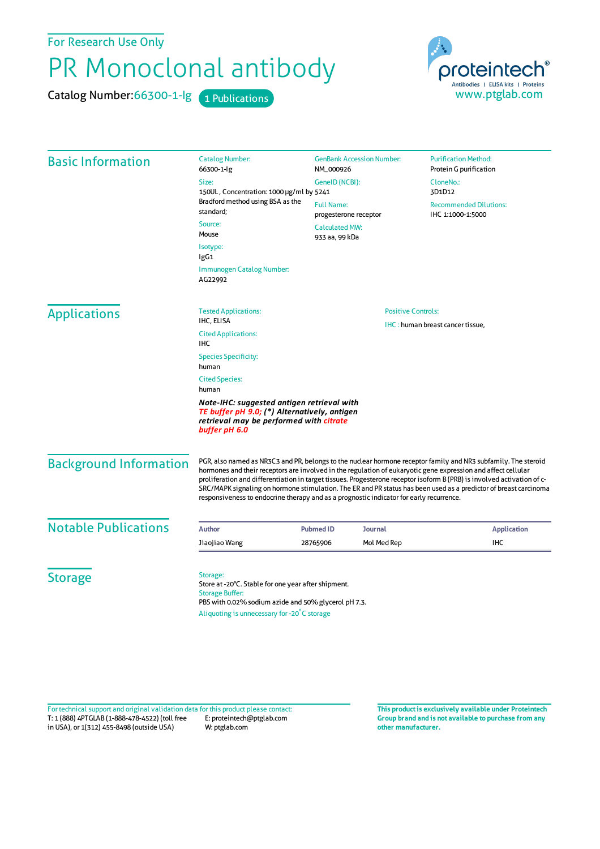For Research Use Only

## PR Monoclonal antibody

Catalog Number: 66300-1-lg 1 Publications



| <b>Basic Information</b> | <b>Catalog Number:</b><br>66300-1-lg                                                                                                                                                                                             | <b>GenBank Accession Number:</b><br>NM_000926                 |            | <b>Purification Method:</b><br>Protein G purification |                               |                                                                                                                                                                                                                                                                                                                                                                                                                                                                                                                                                                           |                  |                |                    |
|--------------------------|----------------------------------------------------------------------------------------------------------------------------------------------------------------------------------------------------------------------------------|---------------------------------------------------------------|------------|-------------------------------------------------------|-------------------------------|---------------------------------------------------------------------------------------------------------------------------------------------------------------------------------------------------------------------------------------------------------------------------------------------------------------------------------------------------------------------------------------------------------------------------------------------------------------------------------------------------------------------------------------------------------------------------|------------------|----------------|--------------------|
|                          | Size:                                                                                                                                                                                                                            | GeneID (NCBI):                                                |            | CloneNo.:                                             |                               |                                                                                                                                                                                                                                                                                                                                                                                                                                                                                                                                                                           |                  |                |                    |
|                          | 150UL, Concentration: 1000 µg/ml by 5241                                                                                                                                                                                         |                                                               |            | 3D1D12                                                |                               |                                                                                                                                                                                                                                                                                                                                                                                                                                                                                                                                                                           |                  |                |                    |
|                          | Bradford method using BSA as the<br>standard;                                                                                                                                                                                    | <b>Full Name:</b><br>progesterone receptor                    |            | <b>Recommended Dilutions:</b><br>IHC 1:1000-1:5000    |                               |                                                                                                                                                                                                                                                                                                                                                                                                                                                                                                                                                                           |                  |                |                    |
|                          | Source:<br>Mouse                                                                                                                                                                                                                 | <b>Calculated MW:</b><br>933 aa, 99 kDa                       |            |                                                       |                               |                                                                                                                                                                                                                                                                                                                                                                                                                                                                                                                                                                           |                  |                |                    |
|                          | Isotype:<br>IgG1                                                                                                                                                                                                                 |                                                               |            |                                                       |                               |                                                                                                                                                                                                                                                                                                                                                                                                                                                                                                                                                                           |                  |                |                    |
|                          | Immunogen Catalog Number:<br>AG22992                                                                                                                                                                                             |                                                               |            |                                                       |                               |                                                                                                                                                                                                                                                                                                                                                                                                                                                                                                                                                                           |                  |                |                    |
| <b>Applications</b>      | <b>Tested Applications:</b>                                                                                                                                                                                                      | <b>Positive Controls:</b><br>IHC: human breast cancer tissue, |            |                                                       |                               |                                                                                                                                                                                                                                                                                                                                                                                                                                                                                                                                                                           |                  |                |                    |
|                          | IHC, ELISA<br><b>Cited Applications:</b><br>IHC                                                                                                                                                                                  |                                                               |            |                                                       |                               |                                                                                                                                                                                                                                                                                                                                                                                                                                                                                                                                                                           |                  |                |                    |
|                          | <b>Species Specificity:</b><br>human<br><b>Cited Species:</b><br>human<br>Note-IHC: suggested antigen retrieval with<br>TE buffer pH 9.0; (*) Alternatively, antigen<br>retrieval may be performed with citrate<br>buffer pH 6.0 |                                                               |            |                                                       |                               |                                                                                                                                                                                                                                                                                                                                                                                                                                                                                                                                                                           |                  |                |                    |
|                          |                                                                                                                                                                                                                                  |                                                               |            |                                                       | <b>Background Information</b> | PGR, also named as NR3C3 and PR, belongs to the nuclear hormone receptor family and NR3 subfamily. The steroid<br>hormones and their receptors are involved in the regulation of eukaryotic gene expression and affect cellular<br>proliferation and differentiation in target tissues. Progesterone receptor isoform B (PRB) is involved activation of c-<br>SRC/MAPK signaling on hormone stimulation. The ER and PR status has been used as a predictor of breast carcinoma<br>responsiveness to endocrine therapy and as a prognostic indicator for early recurrence. |                  |                |                    |
|                          |                                                                                                                                                                                                                                  |                                                               |            |                                                       | <b>Notable Publications</b>   | <b>Author</b>                                                                                                                                                                                                                                                                                                                                                                                                                                                                                                                                                             | <b>Pubmed ID</b> | <b>Journal</b> | <b>Application</b> |
| Jiaojiao Wang            | 28765906                                                                                                                                                                                                                         | Mol Med Rep                                                   | <b>IHC</b> |                                                       |                               |                                                                                                                                                                                                                                                                                                                                                                                                                                                                                                                                                                           |                  |                |                    |
| <b>Storage</b>           | Storage:<br>Store at -20°C. Stable for one year after shipment.<br><b>Storage Buffer:</b><br>PBS with 0.02% sodium azide and 50% glycerol pH 7.3.<br>Aliquoting is unnecessary for -20°C storage                                 |                                                               |            |                                                       |                               |                                                                                                                                                                                                                                                                                                                                                                                                                                                                                                                                                                           |                  |                |                    |

T: 1 (888) 4PTGLAB (1-888-478-4522) (toll free in USA), or 1(312) 455-8498 (outside USA) E: proteintech@ptglab.com W: ptglab.com Fortechnical support and original validation data forthis product please contact: **This productis exclusively available under Proteintech**

**Group brand and is not available to purchase from any other manufacturer.**